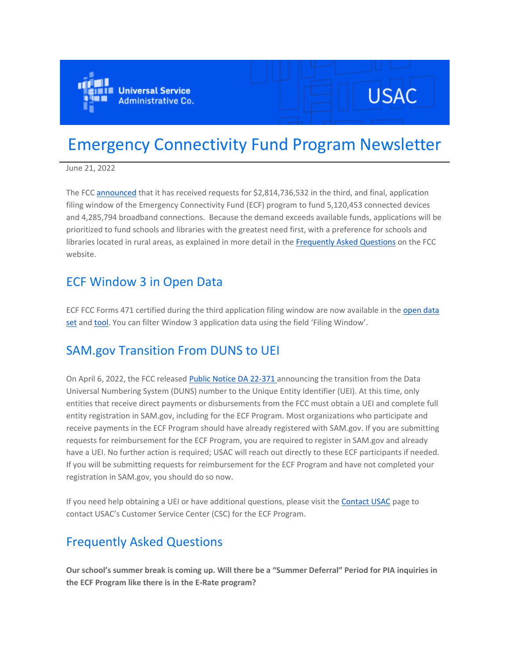

# **USAC**

# Emergency Connectivity Fund Program Newsletter

June 21, 2022

The FCC [announced](https://eur01.safelinks.protection.outlook.com/?url=https%3A%2F%2Fclick.outreach.usac.org%2F%3Fqs%3D7b4a53c452808272b03c1e746925d6d383e52063312dec46c2da0d24ce6af5f4e829046d2443f18562ee6ed1d6a3b2737d4c50979c330c56&data=05%7C01%7CIngrid.Miranda-Paratore%40ey.com%7Ca9580ee7c85942038cd208da53ac1b61%7C5b973f9977df4bebb27daa0c70b8482c%7C0%7C0%7C637914295927212614%7CUnknown%7CTWFpbGZsb3d8eyJWIjoiMC4wLjAwMDAiLCJQIjoiV2luMzIiLCJBTiI6Ik1haWwiLCJXVCI6Mn0%3D%7C3000%7C%7C%7C&sdata=t30OVxCwbVO7G9%2BqVMh5f2W18hdjXFGuW25NC39xZJg%3D&reserved=0) that it has received requests for \$2,814,736,532 in the third, and final, application filing window of the Emergency Connectivity Fund (ECF) program to fund 5,120,453 connected devices and 4,285,794 broadband connections. Because the demand exceeds available funds, applications will be prioritized to fund schools and libraries with the greatest need first, with a preference for schools and libraries located in rural areas, as explained in more detail in the [Frequently Asked Questions](https://eur01.safelinks.protection.outlook.com/?url=https%3A%2F%2Fclick.outreach.usac.org%2F%3Fqs%3D7b4a53c452808272933903a3b6df52a81fbea8736a48e4821102e9311e9924c251ff2b0a8a57841531615d9fc93ec37d367b0f4a8f1ed284&data=05%7C01%7CIngrid.Miranda-Paratore%40ey.com%7Ca9580ee7c85942038cd208da53ac1b61%7C5b973f9977df4bebb27daa0c70b8482c%7C0%7C0%7C637914295927212614%7CUnknown%7CTWFpbGZsb3d8eyJWIjoiMC4wLjAwMDAiLCJQIjoiV2luMzIiLCJBTiI6Ik1haWwiLCJXVCI6Mn0%3D%7C3000%7C%7C%7C&sdata=n00X5vUjuvjd1AJcDgfFyC1CL7DVhwIGjFRFrI50kro%3D&reserved=0) on the FCC website.

### ECF Window 3 in Open Data

ECF FCC Forms 471 certified during the third application filing window are now available in the [open data](https://eur01.safelinks.protection.outlook.com/?url=https%3A%2F%2Fclick.outreach.usac.org%2F%3Fqs%3D7b4a53c45280827272f16ba9be4fa349f4c0b632ff2ad127d47f8ed9905a21363ce0283489be3479bceeaab2bada60d2e201922dcc17f5a8&data=05%7C01%7CIngrid.Miranda-Paratore%40ey.com%7Ca9580ee7c85942038cd208da53ac1b61%7C5b973f9977df4bebb27daa0c70b8482c%7C0%7C0%7C637914295927212614%7CUnknown%7CTWFpbGZsb3d8eyJWIjoiMC4wLjAwMDAiLCJQIjoiV2luMzIiLCJBTiI6Ik1haWwiLCJXVCI6Mn0%3D%7C3000%7C%7C%7C&sdata=GQWYxsYQ%2Fg5uNChdEL%2Fd2ioC6LTyzfDUiqeOWSUQmZo%3D&reserved=0)  [set](https://eur01.safelinks.protection.outlook.com/?url=https%3A%2F%2Fclick.outreach.usac.org%2F%3Fqs%3D7b4a53c45280827272f16ba9be4fa349f4c0b632ff2ad127d47f8ed9905a21363ce0283489be3479bceeaab2bada60d2e201922dcc17f5a8&data=05%7C01%7CIngrid.Miranda-Paratore%40ey.com%7Ca9580ee7c85942038cd208da53ac1b61%7C5b973f9977df4bebb27daa0c70b8482c%7C0%7C0%7C637914295927212614%7CUnknown%7CTWFpbGZsb3d8eyJWIjoiMC4wLjAwMDAiLCJQIjoiV2luMzIiLCJBTiI6Ik1haWwiLCJXVCI6Mn0%3D%7C3000%7C%7C%7C&sdata=GQWYxsYQ%2Fg5uNChdEL%2Fd2ioC6LTyzfDUiqeOWSUQmZo%3D&reserved=0) and [tool](https://eur01.safelinks.protection.outlook.com/?url=https%3A%2F%2Fclick.outreach.usac.org%2F%3Fqs%3D7b4a53c452808272669ee9fb240b541f21fb65f51409fea07618af039f711596dfae566020c1a88886d6d10c158b7ec4fa182f70e54ca781&data=05%7C01%7CIngrid.Miranda-Paratore%40ey.com%7Ca9580ee7c85942038cd208da53ac1b61%7C5b973f9977df4bebb27daa0c70b8482c%7C0%7C0%7C637914295927212614%7CUnknown%7CTWFpbGZsb3d8eyJWIjoiMC4wLjAwMDAiLCJQIjoiV2luMzIiLCJBTiI6Ik1haWwiLCJXVCI6Mn0%3D%7C3000%7C%7C%7C&sdata=cWfU4tSaNdmH54sLp%2FIKlEp0mTf%2FBxEemw9AWSMuVSw%3D&reserved=0). You can filter Window 3 application data using the field 'Filing Window'.

# SAM.gov Transition From DUNS to UEI

On April 6, 2022, the FCC released [Public Notice DA 22-371 a](https://eur01.safelinks.protection.outlook.com/?url=https%3A%2F%2Fclick.outreach.usac.org%2F%3Fqs%3D7b4a53c45280827258f15002d5a7f89c0fe177799a02e05c15d7fe5d6e31f7a8abe7243b7b760c3d848979214c819f52027e9a80f643bcf9&data=05%7C01%7CIngrid.Miranda-Paratore%40ey.com%7Ca9580ee7c85942038cd208da53ac1b61%7C5b973f9977df4bebb27daa0c70b8482c%7C0%7C0%7C637914295927212614%7CUnknown%7CTWFpbGZsb3d8eyJWIjoiMC4wLjAwMDAiLCJQIjoiV2luMzIiLCJBTiI6Ik1haWwiLCJXVCI6Mn0%3D%7C3000%7C%7C%7C&sdata=QB%2Fws9mmy3QlFSESPdB7iRP8cpDHbrcytPKmocW%2B2z4%3D&reserved=0)nnouncing the transition from the Data Universal Numbering System (DUNS) number to the Unique Entity Identifier (UEI). At this time, only entities that receive direct payments or disbursements from the FCC must obtain a UEI and complete full entity registration in SAM.gov, including for the ECF Program. Most organizations who participate and receive payments in the ECF Program should have already registered with SAM.gov. If you are submitting requests for reimbursement for the ECF Program, you are required to register in SAM.gov and already have a UEI. No further action is required; USAC will reach out directly to these ECF participants if needed. If you will be submitting requests for reimbursement for the ECF Program and have not completed your registration in SAM.gov, you should do so now.

If you need help obtaining a UEI or have additional questions, please visit the [Contact USAC](https://eur01.safelinks.protection.outlook.com/?url=https%3A%2F%2Fclick.outreach.usac.org%2F%3Fqs%3D7b4a53c452808272ff9c065add81aad9c7bd0c368c61defc06ed981007a6b6bf509a5547b07cabb6532a38086f82000c0e35f50f16690a37&data=05%7C01%7CIngrid.Miranda-Paratore%40ey.com%7Ca9580ee7c85942038cd208da53ac1b61%7C5b973f9977df4bebb27daa0c70b8482c%7C0%7C0%7C637914295927212614%7CUnknown%7CTWFpbGZsb3d8eyJWIjoiMC4wLjAwMDAiLCJQIjoiV2luMzIiLCJBTiI6Ik1haWwiLCJXVCI6Mn0%3D%7C3000%7C%7C%7C&sdata=DFdwjlTft4xa63JdpOl59CkH5wOC7yXGZPUUq%2B9ZG4Q%3D&reserved=0) page to contact USAC's Customer Service Center (CSC) for the ECF Program.

# Frequently Asked Questions

**Our school's summer break is coming up. Will there be a "Summer Deferral" Period for PIA inquiries in the ECF Program like there is in the E-Rate program?**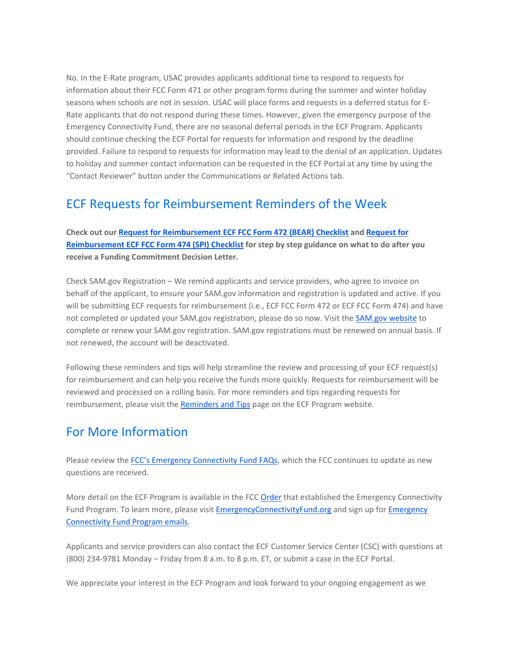No. In the E-Rate program, USAC provides applicants additional time to respond to requests for information about their FCC Form 471 or other program forms during the summer and winter holiday seasons when schools are not in session. USAC will place forms and requests in a deferred status for E-Rate applicants that do not respond during these times. However, given the emergency purpose of the Emergency Connectivity Fund, there are no seasonal deferral periods in the ECF Program. Applicants should continue checking the ECF Portal for requests for information and respond by the deadline provided. Failure to respond to requests for information may lead to the denial of an application. Updates to holiday and summer contact information can be requested in the ECF Portal at any time by using the "Contact Reviewer" button under the Communications or Related Actions tab.

### ECF Requests for Reimbursement Reminders of the Week

**Check out our [Request for Reimbursement ECF FCC Form 472 \(BEAR\) Checklist](https://eur01.safelinks.protection.outlook.com/?url=https%3A%2F%2Fclick.outreach.usac.org%2F%3Fqs%3D7b4a53c45280827295be74c23dd516af02e02b61daac479b1704e4c467cbd9a4cc8e3a44ce4fd7ba557f0a606e49fe82966796c36fc25246&data=05%7C01%7CIngrid.Miranda-Paratore%40ey.com%7Ca9580ee7c85942038cd208da53ac1b61%7C5b973f9977df4bebb27daa0c70b8482c%7C0%7C0%7C637914295927212614%7CUnknown%7CTWFpbGZsb3d8eyJWIjoiMC4wLjAwMDAiLCJQIjoiV2luMzIiLCJBTiI6Ik1haWwiLCJXVCI6Mn0%3D%7C3000%7C%7C%7C&sdata=UaGITzSIJfFBEDA0pZ2N00i0XoM7%2FLyCKD4qfFAv4yg%3D&reserved=0) and [Request for](https://eur01.safelinks.protection.outlook.com/?url=https%3A%2F%2Fclick.outreach.usac.org%2F%3Fqs%3D7b4a53c452808272284828fd97c4fa5596c68387f9c8dada2c8a237077762a1a613a5ee92105cdde8666ecda2c63aa3b73156e93f1ea11f0&data=05%7C01%7CIngrid.Miranda-Paratore%40ey.com%7Ca9580ee7c85942038cd208da53ac1b61%7C5b973f9977df4bebb27daa0c70b8482c%7C0%7C0%7C637914295927212614%7CUnknown%7CTWFpbGZsb3d8eyJWIjoiMC4wLjAwMDAiLCJQIjoiV2luMzIiLCJBTiI6Ik1haWwiLCJXVCI6Mn0%3D%7C3000%7C%7C%7C&sdata=jFrzNl%2FIukZJAKxOmRhXd%2Bqk%2FzniUI2FEWnX%2BAD0No4%3D&reserved=0)  [Reimbursement ECF FCC Form 474 \(SPI\) Checklist](https://eur01.safelinks.protection.outlook.com/?url=https%3A%2F%2Fclick.outreach.usac.org%2F%3Fqs%3D7b4a53c452808272284828fd97c4fa5596c68387f9c8dada2c8a237077762a1a613a5ee92105cdde8666ecda2c63aa3b73156e93f1ea11f0&data=05%7C01%7CIngrid.Miranda-Paratore%40ey.com%7Ca9580ee7c85942038cd208da53ac1b61%7C5b973f9977df4bebb27daa0c70b8482c%7C0%7C0%7C637914295927212614%7CUnknown%7CTWFpbGZsb3d8eyJWIjoiMC4wLjAwMDAiLCJQIjoiV2luMzIiLCJBTiI6Ik1haWwiLCJXVCI6Mn0%3D%7C3000%7C%7C%7C&sdata=jFrzNl%2FIukZJAKxOmRhXd%2Bqk%2FzniUI2FEWnX%2BAD0No4%3D&reserved=0) for step by step guidance on what to do after you receive a Funding Commitment Decision Letter.**

Check SAM.gov Registration – We remind applicants and service providers, who agree to invoice on behalf of the applicant, to ensure your SAM.gov information and registration is updated and active. If you will be submitting ECF requests for reimbursement (i.e., ECF FCC Form 472 or ECF FCC Form 474) and have not completed or updated your SAM.gov registration, please do so now. Visit the [SAM.gov website](https://eur01.safelinks.protection.outlook.com/?url=https%3A%2F%2Fclick.outreach.usac.org%2F%3Fqs%3D7b4a53c4528082721efd50f2fe83ea81e183ab11c684aa380040da139794c8645bde3118b545d8af084e6e1eefae12177ee479e867413226&data=05%7C01%7CIngrid.Miranda-Paratore%40ey.com%7Ca9580ee7c85942038cd208da53ac1b61%7C5b973f9977df4bebb27daa0c70b8482c%7C0%7C0%7C637914295927212614%7CUnknown%7CTWFpbGZsb3d8eyJWIjoiMC4wLjAwMDAiLCJQIjoiV2luMzIiLCJBTiI6Ik1haWwiLCJXVCI6Mn0%3D%7C3000%7C%7C%7C&sdata=sa4Gbv4vdUmph7kmIykQ3O9FHndySb5mHzDCjW7rQZk%3D&reserved=0) to complete or renew your SAM.gov registration. SAM.gov registrations must be renewed on annual basis. If not renewed, the account will be deactivated.

Following these reminders and tips will help streamline the review and processing of your ECF request(s) for reimbursement and can help you receive the funds more quickly. Requests for reimbursement will be reviewed and processed on a rolling basis. For more reminders and tips regarding requests for reimbursement, please visit the [Reminders and Tips](https://eur01.safelinks.protection.outlook.com/?url=https%3A%2F%2Fclick.outreach.usac.org%2F%3Fqs%3D7b4a53c452808272cef3c3d4e91286ce91d1a8e2e7313b6e387bdbc7ea2facf2fed2c00643de6c087679a4f34ca721acd1ec5d066a927652&data=05%7C01%7CIngrid.Miranda-Paratore%40ey.com%7Ca9580ee7c85942038cd208da53ac1b61%7C5b973f9977df4bebb27daa0c70b8482c%7C0%7C0%7C637914295927212614%7CUnknown%7CTWFpbGZsb3d8eyJWIjoiMC4wLjAwMDAiLCJQIjoiV2luMzIiLCJBTiI6Ik1haWwiLCJXVCI6Mn0%3D%7C3000%7C%7C%7C&sdata=TcR6kDEW%2FU6UyUkOSENL0%2FgJ37FTpSx5S0BOzrcYyrQ%3D&reserved=0) page on the ECF Program website.

# For More Information

Please review the [FCC's Emergency Connectivity Fund FAQs](https://eur01.safelinks.protection.outlook.com/?url=https%3A%2F%2Fclick.outreach.usac.org%2F%3Fqs%3D7b4a53c4528082726f7aa4e7d534972a6f45e44e29c86bf67c51e90b1d0165381b0dc49499a200c6784c237f5eacd454ff938cada5465707&data=05%7C01%7CIngrid.Miranda-Paratore%40ey.com%7Ca9580ee7c85942038cd208da53ac1b61%7C5b973f9977df4bebb27daa0c70b8482c%7C0%7C0%7C637914295927212614%7CUnknown%7CTWFpbGZsb3d8eyJWIjoiMC4wLjAwMDAiLCJQIjoiV2luMzIiLCJBTiI6Ik1haWwiLCJXVCI6Mn0%3D%7C3000%7C%7C%7C&sdata=VvXTUs94RRqkZVmmXk1LyZZW2jmBDwxgNAh6tx6AwCY%3D&reserved=0), which the FCC continues to update as new questions are received.

More detail on the ECF Program is available in the FCC [Order](https://eur01.safelinks.protection.outlook.com/?url=https%3A%2F%2Fclick.outreach.usac.org%2F%3Fqs%3D7b4a53c452808272464ccccbbaf3113b01bbd8c98edd58275ca27a1b7453d74927032414befead752a49549704b4d4963c1ac8ae498e45ba&data=05%7C01%7CIngrid.Miranda-Paratore%40ey.com%7Ca9580ee7c85942038cd208da53ac1b61%7C5b973f9977df4bebb27daa0c70b8482c%7C0%7C0%7C637914295927212614%7CUnknown%7CTWFpbGZsb3d8eyJWIjoiMC4wLjAwMDAiLCJQIjoiV2luMzIiLCJBTiI6Ik1haWwiLCJXVCI6Mn0%3D%7C3000%7C%7C%7C&sdata=atTTTe4lFJhb36f%2BQ%2FPQ7M6GVSYfFNLaMWZOt981JKk%3D&reserved=0) that established the Emergency Connectivity Fund Program. To learn more, please visit [EmergencyConnectivityFund.org](https://eur01.safelinks.protection.outlook.com/?url=https%3A%2F%2Fclick.outreach.usac.org%2F%3Fqs%3Df99c2865ad6b12c99cffe24cab3f7dde53f96ed1947cc73767d6960d624d1e425d6c1ba38fe184ff0f3d86834fdb233d02b8db9ab2c34e91&data=05%7C01%7CIngrid.Miranda-Paratore%40ey.com%7Ca9580ee7c85942038cd208da53ac1b61%7C5b973f9977df4bebb27daa0c70b8482c%7C0%7C0%7C637914295927212614%7CUnknown%7CTWFpbGZsb3d8eyJWIjoiMC4wLjAwMDAiLCJQIjoiV2luMzIiLCJBTiI6Ik1haWwiLCJXVCI6Mn0%3D%7C3000%7C%7C%7C&sdata=rEjWvDW2dUs8uafUpfSfcbPm45lLDdovWWcZcLUEkds%3D&reserved=0) and sign up for [Emergency](https://eur01.safelinks.protection.outlook.com/?url=https%3A%2F%2Fclick.outreach.usac.org%2F%3Fqs%3Df99c2865ad6b12c913581d4005f03e39225cc9e499748346674220d7983bc5df7ef5ef176a137e1b3c405085a8fb5e666f5438c1e88aa648&data=05%7C01%7CIngrid.Miranda-Paratore%40ey.com%7Ca9580ee7c85942038cd208da53ac1b61%7C5b973f9977df4bebb27daa0c70b8482c%7C0%7C0%7C637914295927212614%7CUnknown%7CTWFpbGZsb3d8eyJWIjoiMC4wLjAwMDAiLCJQIjoiV2luMzIiLCJBTiI6Ik1haWwiLCJXVCI6Mn0%3D%7C3000%7C%7C%7C&sdata=27AFgvUv1EKcXwolDFohoFkYDqcF35cd4y9tL4dXHn8%3D&reserved=0) [Connectivity Fund Program emails.](https://eur01.safelinks.protection.outlook.com/?url=https%3A%2F%2Fclick.outreach.usac.org%2F%3Fqs%3Df99c2865ad6b12c913581d4005f03e39225cc9e499748346674220d7983bc5df7ef5ef176a137e1b3c405085a8fb5e666f5438c1e88aa648&data=05%7C01%7CIngrid.Miranda-Paratore%40ey.com%7Ca9580ee7c85942038cd208da53ac1b61%7C5b973f9977df4bebb27daa0c70b8482c%7C0%7C0%7C637914295927212614%7CUnknown%7CTWFpbGZsb3d8eyJWIjoiMC4wLjAwMDAiLCJQIjoiV2luMzIiLCJBTiI6Ik1haWwiLCJXVCI6Mn0%3D%7C3000%7C%7C%7C&sdata=27AFgvUv1EKcXwolDFohoFkYDqcF35cd4y9tL4dXHn8%3D&reserved=0)

Applicants and service providers can also contact the ECF Customer Service Center (CSC) with questions at (800) 234-9781 Monday – Friday from 8 a.m. to 8 p.m. ET, or submit a case in the ECF Portal.

We appreciate your interest in the ECF Program and look forward to your ongoing engagement as we